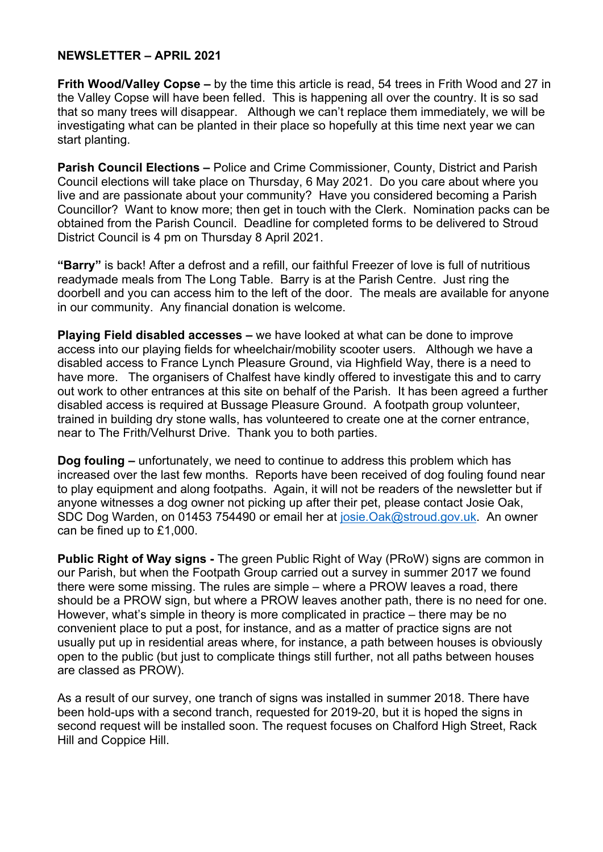## **NEWSLETTER – APRIL 2021**

**Frith Wood/Valley Copse –** by the time this article is read, 54 trees in Frith Wood and 27 in the Valley Copse will have been felled. This is happening all over the country. It is so sad that so many trees will disappear. Although we can't replace them immediately, we will be investigating what can be planted in their place so hopefully at this time next year we can start planting.

**Parish Council Elections –** Police and Crime Commissioner, County, District and Parish Council elections will take place on Thursday, 6 May 2021. Do you care about where you live and are passionate about your community? Have you considered becoming a Parish Councillor? Want to know more; then get in touch with the Clerk. Nomination packs can be obtained from the Parish Council. Deadline for completed forms to be delivered to Stroud District Council is 4 pm on Thursday 8 April 2021.

**"Barry"** is back! After a defrost and a refill, our faithful Freezer of love is full of nutritious readymade meals from The Long Table. Barry is at the Parish Centre. Just ring the doorbell and you can access him to the left of the door. The meals are available for anyone in our community. Any financial donation is welcome.

**Playing Field disabled accesses –** we have looked at what can be done to improve access into our playing fields for wheelchair/mobility scooter users. Although we have a disabled access to France Lynch Pleasure Ground, via Highfield Way, there is a need to have more. The organisers of Chalfest have kindly offered to investigate this and to carry out work to other entrances at this site on behalf of the Parish. It has been agreed a further disabled access is required at Bussage Pleasure Ground. A footpath group volunteer, trained in building dry stone walls, has volunteered to create one at the corner entrance, near to The Frith/Velhurst Drive. Thank you to both parties.

**Dog fouling –** unfortunately, we need to continue to address this problem which has increased over the last few months. Reports have been received of dog fouling found near to play equipment and along footpaths. Again, it will not be readers of the newsletter but if anyone witnesses a dog owner not picking up after their pet, please contact Josie Oak, SDC Dog Warden, on 01453 754490 or email her at [josie.Oak@stroud.gov.uk.](mailto:josie.Oak@stroud.gov.uk) An owner can be fined up to £1,000.

**Public Right of Way signs -** The green Public Right of Way (PRoW) signs are common in our Parish, but when the Footpath Group carried out a survey in summer 2017 we found there were some missing. The rules are simple – where a PROW leaves a road, there should be a PROW sign, but where a PROW leaves another path, there is no need for one. However, what's simple in theory is more complicated in practice – there may be no convenient place to put a post, for instance, and as a matter of practice signs are not usually put up in residential areas where, for instance, a path between houses is obviously open to the public (but just to complicate things still further, not all paths between houses are classed as PROW).

As a result of our survey, one tranch of signs was installed in summer 2018. There have been hold-ups with a second tranch, requested for 2019-20, but it is hoped the signs in second request will be installed soon. The request focuses on Chalford High Street, Rack Hill and Coppice Hill.